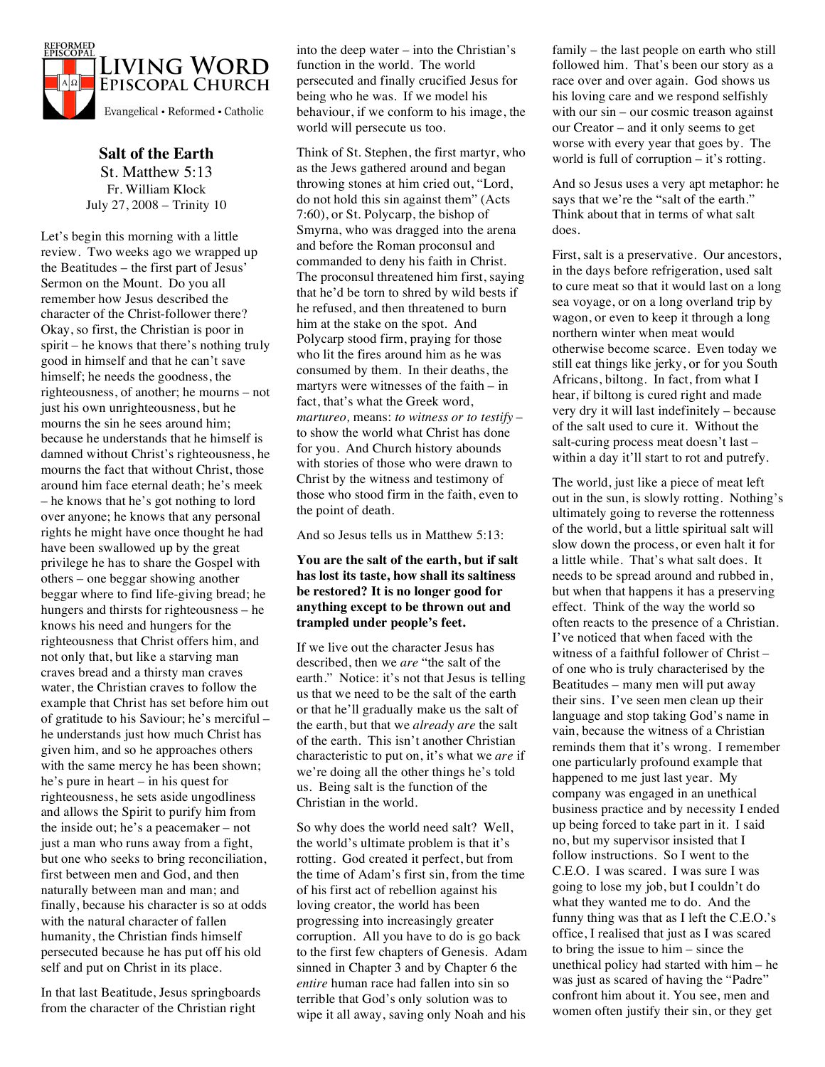

**Salt of the Earth** St. Matthew 5:13 Fr. William Klock July 27, 2008 – Trinity 10

Let's begin this morning with a little review. Two weeks ago we wrapped up the Beatitudes – the first part of Jesus' Sermon on the Mount. Do you all remember how Jesus described the character of the Christ-follower there? Okay, so first, the Christian is poor in spirit – he knows that there's nothing truly good in himself and that he can't save himself; he needs the goodness, the righteousness, of another; he mourns – not just his own unrighteousness, but he mourns the sin he sees around him; because he understands that he himself is damned without Christ's righteousness, he mourns the fact that without Christ, those around him face eternal death; he's meek – he knows that he's got nothing to lord over anyone; he knows that any personal rights he might have once thought he had have been swallowed up by the great privilege he has to share the Gospel with others – one beggar showing another beggar where to find life-giving bread; he hungers and thirsts for righteousness – he knows his need and hungers for the righteousness that Christ offers him, and not only that, but like a starving man craves bread and a thirsty man craves water, the Christian craves to follow the example that Christ has set before him out of gratitude to his Saviour; he's merciful – he understands just how much Christ has given him, and so he approaches others with the same mercy he has been shown; he's pure in heart – in his quest for righteousness, he sets aside ungodliness and allows the Spirit to purify him from the inside out; he's a peacemaker – not just a man who runs away from a fight, but one who seeks to bring reconciliation, first between men and God, and then naturally between man and man; and finally, because his character is so at odds with the natural character of fallen humanity, the Christian finds himself persecuted because he has put off his old self and put on Christ in its place.

In that last Beatitude, Jesus springboards from the character of the Christian right

into the deep water – into the Christian's function in the world. The world persecuted and finally crucified Jesus for being who he was. If we model his behaviour, if we conform to his image, the world will persecute us too.

Think of St. Stephen, the first martyr, who as the Jews gathered around and began throwing stones at him cried out, "Lord, do not hold this sin against them" (Acts 7:60), or St. Polycarp, the bishop of Smyrna, who was dragged into the arena and before the Roman proconsul and commanded to deny his faith in Christ. The proconsul threatened him first, saying that he'd be torn to shred by wild bests if he refused, and then threatened to burn him at the stake on the spot. And Polycarp stood firm, praying for those who lit the fires around him as he was consumed by them. In their deaths, the martyrs were witnesses of the faith – in fact, that's what the Greek word, *martureo,* means: *to witness or to testify* – to show the world what Christ has done for you. And Church history abounds with stories of those who were drawn to Christ by the witness and testimony of those who stood firm in the faith, even to the point of death.

And so Jesus tells us in Matthew 5:13:

## **You are the salt of the earth, but if salt has lost its taste, how shall its saltiness be restored? It is no longer good for anything except to be thrown out and trampled under people's feet.**

If we live out the character Jesus has described, then we *are* "the salt of the earth." Notice: it's not that Jesus is telling us that we need to be the salt of the earth or that he'll gradually make us the salt of the earth, but that we *already are* the salt of the earth. This isn't another Christian characteristic to put on, it's what we *are* if we're doing all the other things he's told us. Being salt is the function of the Christian in the world.

So why does the world need salt? Well, the world's ultimate problem is that it's rotting. God created it perfect, but from the time of Adam's first sin, from the time of his first act of rebellion against his loving creator, the world has been progressing into increasingly greater corruption. All you have to do is go back to the first few chapters of Genesis. Adam sinned in Chapter 3 and by Chapter 6 the *entire* human race had fallen into sin so terrible that God's only solution was to wipe it all away, saving only Noah and his

family – the last people on earth who still followed him. That's been our story as a race over and over again. God shows us his loving care and we respond selfishly with our sin – our cosmic treason against our Creator – and it only seems to get worse with every year that goes by. The world is full of corruption – it's rotting.

And so Jesus uses a very apt metaphor: he says that we're the "salt of the earth." Think about that in terms of what salt does.

First, salt is a preservative. Our ancestors, in the days before refrigeration, used salt to cure meat so that it would last on a long sea voyage, or on a long overland trip by wagon, or even to keep it through a long northern winter when meat would otherwise become scarce. Even today we still eat things like jerky, or for you South Africans, biltong. In fact, from what I hear, if biltong is cured right and made very dry it will last indefinitely – because of the salt used to cure it. Without the salt-curing process meat doesn't last – within a day it'll start to rot and putrefy.

The world, just like a piece of meat left out in the sun, is slowly rotting. Nothing's ultimately going to reverse the rottenness of the world, but a little spiritual salt will slow down the process, or even halt it for a little while. That's what salt does. It needs to be spread around and rubbed in, but when that happens it has a preserving effect. Think of the way the world so often reacts to the presence of a Christian. I've noticed that when faced with the witness of a faithful follower of Christ – of one who is truly characterised by the Beatitudes – many men will put away their sins. I've seen men clean up their language and stop taking God's name in vain, because the witness of a Christian reminds them that it's wrong. I remember one particularly profound example that happened to me just last year. My company was engaged in an unethical business practice and by necessity I ended up being forced to take part in it. I said no, but my supervisor insisted that I follow instructions. So I went to the C.E.O. I was scared. I was sure I was going to lose my job, but I couldn't do what they wanted me to do. And the funny thing was that as I left the C.E.O.'s office, I realised that just as I was scared to bring the issue to him – since the unethical policy had started with him – he was just as scared of having the "Padre" confront him about it. You see, men and women often justify their sin, or they get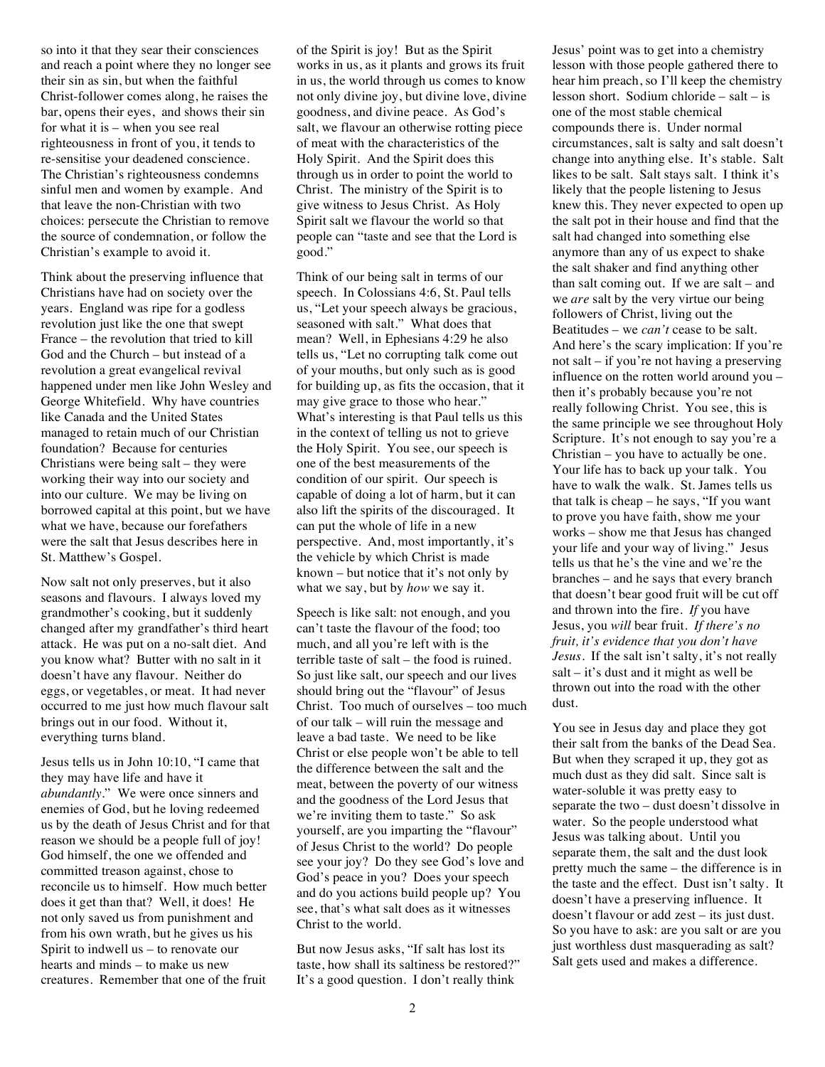so into it that they sear their consciences and reach a point where they no longer see their sin as sin, but when the faithful Christ-follower comes along, he raises the bar, opens their eyes, and shows their sin for what it is – when you see real righteousness in front of you, it tends to re-sensitise your deadened conscience. The Christian's righteousness condemns sinful men and women by example. And that leave the non-Christian with two choices: persecute the Christian to remove the source of condemnation, or follow the Christian's example to avoid it.

Think about the preserving influence that Christians have had on society over the years. England was ripe for a godless revolution just like the one that swept France – the revolution that tried to kill God and the Church – but instead of a revolution a great evangelical revival happened under men like John Wesley and George Whitefield. Why have countries like Canada and the United States managed to retain much of our Christian foundation? Because for centuries Christians were being salt – they were working their way into our society and into our culture. We may be living on borrowed capital at this point, but we have what we have, because our forefathers were the salt that Jesus describes here in St. Matthew's Gospel.

Now salt not only preserves, but it also seasons and flavours. I always loved my grandmother's cooking, but it suddenly changed after my grandfather's third heart attack. He was put on a no-salt diet. And you know what? Butter with no salt in it doesn't have any flavour. Neither do eggs, or vegetables, or meat. It had never occurred to me just how much flavour salt brings out in our food. Without it, everything turns bland.

Jesus tells us in John 10:10, "I came that they may have life and have it *abundantly*." We were once sinners and enemies of God, but he loving redeemed us by the death of Jesus Christ and for that reason we should be a people full of joy! God himself, the one we offended and committed treason against, chose to reconcile us to himself. How much better does it get than that? Well, it does! He not only saved us from punishment and from his own wrath, but he gives us his Spirit to indwell us – to renovate our hearts and minds – to make us new creatures. Remember that one of the fruit

of the Spirit is joy! But as the Spirit works in us, as it plants and grows its fruit in us, the world through us comes to know not only divine joy, but divine love, divine goodness, and divine peace. As God's salt, we flavour an otherwise rotting piece of meat with the characteristics of the Holy Spirit. And the Spirit does this through us in order to point the world to Christ. The ministry of the Spirit is to give witness to Jesus Christ. As Holy Spirit salt we flavour the world so that people can "taste and see that the Lord is good."

Think of our being salt in terms of our speech. In Colossians 4:6, St. Paul tells us, "Let your speech always be gracious, seasoned with salt." What does that mean? Well, in Ephesians 4:29 he also tells us, "Let no corrupting talk come out of your mouths, but only such as is good for building up, as fits the occasion, that it may give grace to those who hear." What's interesting is that Paul tells us this in the context of telling us not to grieve the Holy Spirit. You see, our speech is one of the best measurements of the condition of our spirit. Our speech is capable of doing a lot of harm, but it can also lift the spirits of the discouraged. It can put the whole of life in a new perspective. And, most importantly, it's the vehicle by which Christ is made known – but notice that it's not only by what we say, but by *how* we say it.

Speech is like salt: not enough, and you can't taste the flavour of the food; too much, and all you're left with is the terrible taste of salt – the food is ruined. So just like salt, our speech and our lives should bring out the "flavour" of Jesus Christ. Too much of ourselves – too much of our talk – will ruin the message and leave a bad taste. We need to be like Christ or else people won't be able to tell the difference between the salt and the meat, between the poverty of our witness and the goodness of the Lord Jesus that we're inviting them to taste." So ask yourself, are you imparting the "flavour" of Jesus Christ to the world? Do people see your joy? Do they see God's love and God's peace in you? Does your speech and do you actions build people up? You see, that's what salt does as it witnesses Christ to the world.

But now Jesus asks, "If salt has lost its taste, how shall its saltiness be restored?" It's a good question. I don't really think

Jesus' point was to get into a chemistry lesson with those people gathered there to hear him preach, so I'll keep the chemistry lesson short. Sodium chloride – salt – is one of the most stable chemical compounds there is. Under normal circumstances, salt is salty and salt doesn't change into anything else. It's stable. Salt likes to be salt. Salt stays salt. I think it's likely that the people listening to Jesus knew this. They never expected to open up the salt pot in their house and find that the salt had changed into something else anymore than any of us expect to shake the salt shaker and find anything other than salt coming out. If we are salt – and we *are* salt by the very virtue our being followers of Christ, living out the Beatitudes – we *can't* cease to be salt. And here's the scary implication: If you're not salt – if you're not having a preserving influence on the rotten world around you – then it's probably because you're not really following Christ. You see, this is the same principle we see throughout Holy Scripture. It's not enough to say you're a Christian – you have to actually be one. Your life has to back up your talk. You have to walk the walk. St. James tells us that talk is cheap – he says, "If you want to prove you have faith, show me your works – show me that Jesus has changed your life and your way of living." Jesus tells us that he's the vine and we're the branches – and he says that every branch that doesn't bear good fruit will be cut off and thrown into the fire. *If* you have Jesus, you *will* bear fruit. *If there's no fruit, it's evidence that you don't have Jesus.* If the salt isn't salty, it's not really salt – it's dust and it might as well be thrown out into the road with the other dust.

You see in Jesus day and place they got their salt from the banks of the Dead Sea. But when they scraped it up, they got as much dust as they did salt. Since salt is water-soluble it was pretty easy to separate the two – dust doesn't dissolve in water. So the people understood what Jesus was talking about. Until you separate them, the salt and the dust look pretty much the same – the difference is in the taste and the effect. Dust isn't salty. It doesn't have a preserving influence. It doesn't flavour or add zest – its just dust. So you have to ask: are you salt or are you just worthless dust masquerading as salt? Salt gets used and makes a difference.